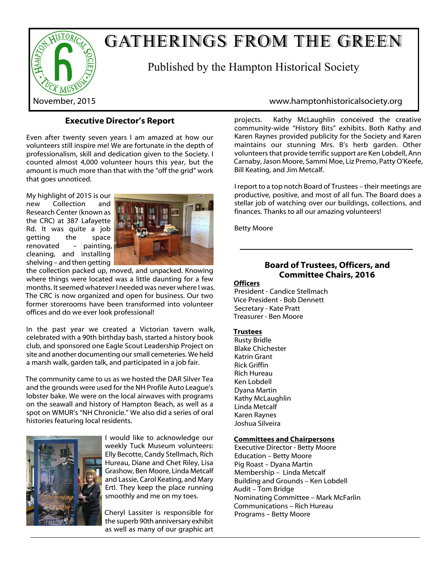

# GATHERINGS FROM THE GREEN

Published by the Hampton Historical Society

# **Executive Director's Report**

Even after twenty seven years I am amazed at how our volunteers still inspire me! We are fortunate in the depth of professionalism, skill and dedication given to the Society. I counted almost 4,000 volunteer hours this year, but the amount is much more than that with the "off the grid" work that goes unnoticed.

My highlight of 2015 is our new Collection and Research Center (known as the CRC) at 387 Lafayette Rd. It was quite a job getting the space renovated – painting, cleaning, and installing shelving – and then getting



the collection packed up, moved, and unpacked. Knowing where things were located was a little daunting for a few months. It seemed whatever I needed was never where I was. The CRC is now organized and open for business. Our two former storerooms have been transformed into volunteer offices and do we ever look professional!

In the past year we created a Victorian tavern walk, celebrated with a 90th birthday bash, started a history book club, and sponsored one Eagle Scout Leadership Project on site and another documenting our small cemeteries. We held a marsh walk, garden talk, and participated in a job fair.

The community came to us as we hosted the DAR Silver Tea and the grounds were used for the NH Profile Auto League's lobster bake. We were on the local airwaves with programs on the seawall and history of Hampton Beach, as well as a spot on WMUR's "NH Chronicle." We also did a series of oral histories featuring local residents.



I would like to acknowledge our weekly Tuck Museum volunteers: Elly Becotte, Candy Stellmach, Rich Hureau, Diane and Chet Riley, Lisa Grashow, Ben Moore, Linda Metcalf and Lassie, Carol Keating, and Mary Ertl. They keep the place running smoothly and me on my toes.

Cheryl Lassiter is responsible for the superb 90th anniversary exhibit as well as many of our graphic art

# November, 2015 www.hamptonhistoricalsociety.org

projects. Kathy McLaughlin conceived the creative community-wide "History Bits" exhibits. Both Kathy and Karen Raynes provided publicity for the Society and Karen maintains our stunning Mrs. B's herb garden. Other volunteers that provide terrific support are Ken Lobdell, Ann Carnaby, Jason Moore, Sammi Moe, Liz Premo, Patty O'Keefe, Bill Keating, and Jim Metcalf.

I report to a top notch Board of Trustees – their meetings are productive, positive, and most of all fun. The Board does a stellar job of watching over our buildings, collections, and finances. Thanks to all our amazing volunteers!

Betty Moore

# **Board of Trustees, Officers, and Committee Chairs, 2016**

**Officers**

President - Candice Stellmach Vice President - Bob Dennett Secretary - Kate Pratt Treasurer - Ben Moore

#### **Trustees**

Rusty Bridle Blake Chichester Katrin Grant Rick Griffin Rich Hureau Ken Lobdell Dyana Martin Kathy McLaughlin Linda Metcalf Karen Raynes Joshua Silveira

#### **Committees and Chairpersons**

Executive Director - Betty Moore Education – Betty Moore Pig Roast – Dyana Martin Membership – Linda Metcalf Building and Grounds – Ken Lobdell Audit – Tom Bridge Nominating Committee – Mark McFarlin Communications – Rich Hureau Programs – Betty Moore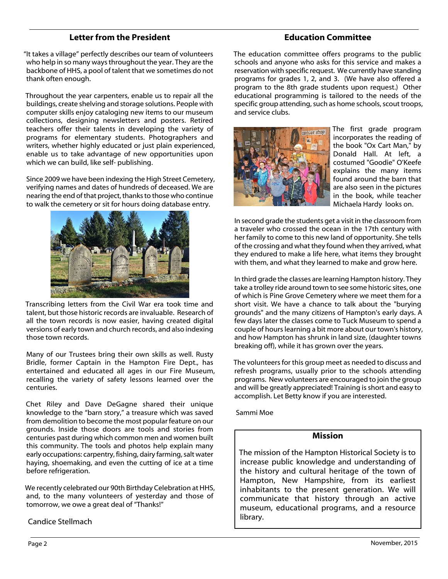## **Letter from the President**

"It takes a village" perfectly describes our team of volunteers who help in so many ways throughout the year. They are the backbone of HHS, a pool of talent that we sometimes do not thank often enough.

Throughout the year carpenters, enable us to repair all the buildings, create shelving and storage solutions. People with computer skills enjoy cataloging new items to our museum collections, designing newsletters and posters. Retired teachers offer their talents in developing the variety of programs for elementary students. Photographers and writers, whether highly educated or just plain experienced, enable us to take advantage of new opportunities upon which we can build, like self- publishing.

Since 2009 we have been indexing the High Street Cemetery, verifying names and dates of hundreds of deceased. We are nearing the end of that project, thanks to those who continue to walk the cemetery or sit for hours doing database entry.



Transcribing letters from the Civil War era took time and talent, but those historic records are invaluable. Research of all the town records is now easier, having created digital versions of early town and church records, and also indexing those town records.

Many of our Trustees bring their own skills as well. Rusty Bridle, former Captain in the Hampton Fire Dept., has entertained and educated all ages in our Fire Museum, recalling the variety of safety lessons learned over the centuries.

Chet Riley and Dave DeGagne shared their unique knowledge to the "barn story," a treasure which was saved from demolition to become the most popular feature on our grounds. Inside those doors are tools and stories from centuries past during which common men and women built this community. The tools and photos help explain many early occupations: carpentry, fishing, dairy farming, salt water haying, shoemaking, and even the cutting of ice at a time before refrigeration.

We recently celebrated our 90th Birthday Celebration at HHS, and, to the many volunteers of yesterday and those of tomorrow, we owe a great deal of "Thanks!"

#### Candice Stellmach

# **Education Committee**

The education committee offers programs to the public schools and anyone who asks for this service and makes a reservation with specific request. We currently have standing programs for grades 1, 2, and 3. (We have also offered a program to the 8th grade students upon request.) Other educational programming is tailored to the needs of the specific group attending, such as home schools, scout troops, and service clubs.



The first grade program incorporates the reading of the book "Ox Cart Man," by Donald Hall. At left, a costumed "Goodie" O'Keefe explains the many items found around the barn that are also seen in the pictures in the book, while teacher Michaela Hardy looks on.

In second grade the students get a visit in the classroom from a traveler who crossed the ocean in the 17th century with her family to come to this new land of opportunity. She tells of the crossing and what they found when they arrived, what they endured to make a life here, what items they brought with them, and what they learned to make and grow here.

In third grade the classes are learning Hampton history. They take a trolley ride around town to see some historic sites, one of which is Pine Grove Cemetery where we meet them for a short visit. We have a chance to talk about the "burying grounds" and the many citizens of Hampton's early days. A few days later the classes come to Tuck Museum to spend a couple of hours learning a bit more about our town's history, and how Hampton has shrunk in land size, (daughter towns breaking off), while it has grown over the years.

The volunteers for this group meet as needed to discuss and refresh programs, usually prior to the schools attending programs. New volunteers are encouraged to join the group and will be greatly appreciated! Training is short and easy to accomplish. Let Betty know if you are interested.

Sammi Moe

#### **Mission**

The mission of the Hampton Historical Society is to increase public knowledge and understanding of the history and cultural heritage of the town of Hampton, New Hampshire, from its earliest inhabitants to the present generation. We will communicate that history through an active museum, educational programs, and a resource library.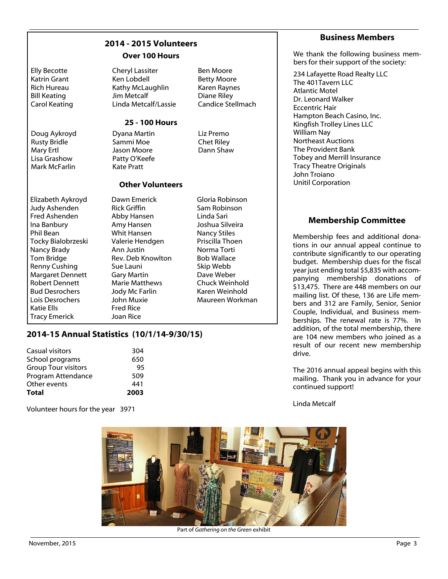|  |  | 2014 - 2015 Volunteers |  |
|--|--|------------------------|--|
|  |  | $\mathsf{O}$           |  |

#### **Over 100 Hours**

| <b>Elly Becotte</b><br>Katrin Grant<br><b>Rich Hureau</b><br><b>Bill Keating</b><br><b>Carol Keating</b><br>Doug Aykroyd<br><b>Rusty Bridle</b><br>Mary Ertl<br>Lisa Grashow<br>Mark McFarlin                                                                                                    | <b>Cheryl Lassiter</b><br>Ken Lobdell<br>Kathy McLaughlin<br>Jim Metcalf<br>Linda Metcalf/Lassie<br><b>25 - 100 Hours</b><br>Dyana Martin<br>Sammi Moe<br>Jason Moore<br>Patty O'Keefe<br><b>Kate Pratt</b>                                                               | <b>Ben Moore</b><br><b>Betty Moore</b><br>Karen Raynes<br>Diane Riley<br><b>Candice Stellmach</b><br>Liz Premo<br><b>Chet Riley</b><br>Dann Shaw                                                                                  | 234 Lafayette Road Realty LLC<br>The 401 Tavern LLC<br><b>Atlantic Motel</b><br>Dr. Leonard Walker<br><b>Eccentric Hair</b><br>Hampton Beach Casino, Inc.<br>Kingfish Trolley Lines LLC<br>William Nay<br><b>Northeast Auctions</b><br>The Provident Bank<br>Tobey and Merrill Insurance<br><b>Tracy Theatre Originals</b><br>John Troiano                                                                                                                  |
|--------------------------------------------------------------------------------------------------------------------------------------------------------------------------------------------------------------------------------------------------------------------------------------------------|---------------------------------------------------------------------------------------------------------------------------------------------------------------------------------------------------------------------------------------------------------------------------|-----------------------------------------------------------------------------------------------------------------------------------------------------------------------------------------------------------------------------------|-------------------------------------------------------------------------------------------------------------------------------------------------------------------------------------------------------------------------------------------------------------------------------------------------------------------------------------------------------------------------------------------------------------------------------------------------------------|
|                                                                                                                                                                                                                                                                                                  | <b>Other Volunteers</b>                                                                                                                                                                                                                                                   |                                                                                                                                                                                                                                   | <b>Unitil Corporation</b>                                                                                                                                                                                                                                                                                                                                                                                                                                   |
| Elizabeth Aykroyd<br>Judy Ashenden<br>Fred Ashenden<br>Ina Banbury<br>Phil Bean<br>Tocky Bialobrzeski<br>Nancy Brady<br>Tom Bridge<br>Renny Cushing<br><b>Margaret Dennett</b><br><b>Robert Dennett</b><br><b>Bud Desrochers</b><br>Lois Desrochers<br><b>Katie Ells</b><br><b>Tracy Emerick</b> | Dawn Emerick<br><b>Rick Griffin</b><br>Abby Hansen<br>Amy Hansen<br><b>Whit Hansen</b><br>Valerie Hendgen<br>Ann Justin<br>Rev. Deb Knowlton<br>Sue Launi<br><b>Gary Martin</b><br><b>Marie Matthews</b><br>Jody Mc Farlin<br>John Muxie<br><b>Fred Rice</b><br>Joan Rice | Gloria Robinson<br>Sam Robinson<br>Linda Sari<br>Joshua Silveira<br><b>Nancy Stiles</b><br>Priscilla Thoen<br>Norma Torti<br><b>Bob Wallace</b><br>Skip Webb<br>Dave Weber<br>Chuck Weinhold<br>Karen Weinhold<br>Maureen Workman | <b>Membership Committee</b><br>Membership fees and additional c<br>tions in our annual appeal continu<br>contribute significantly to our oper<br>budget. Membership dues for the<br>year just ending total \$5,835 with ac<br>panying membership donations<br>\$13,475. There are 448 members or<br>mailing list. Of these, 136 are Life n<br>bers and 312 are Family, Senior, S<br>Couple, Individual, and Business n<br>berships. The renewal rate is 77% |

#### **2014-15 Annual Statistics (10/1/14-9/30/15)**

| Casual visitors            | 304  |
|----------------------------|------|
| School programs            | 650  |
| <b>Group Tour visitors</b> | 95   |
| Program Attendance         | 509  |
| Other events               | 441  |
| Total                      | 2003 |

Volunteer hours for the year 3971

#### **Business Members**

We thank the following business members for their support of the society:

donanue to erating e fiscal ccom-าร of on our mem-Senior mem-%. In addition, of the total membership, there are 104 new members who joined as a result of our recent new membership drive.

The 2016 annual appeal begins with this mailing. Thank you in advance for your continued support!

Linda Metcalf



Part of *Gathering on the Green* exhibit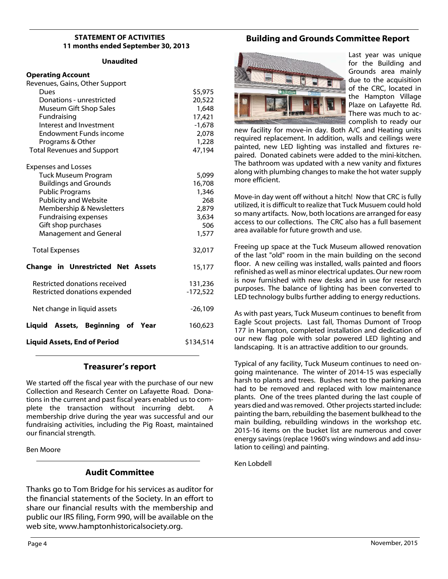#### **STATEMENT OF ACTIVITIES 11 months ended September 30, 2013**

#### **Unaudited**

#### **Operating Account**

| Revenues, Gains, Other Support           |            |
|------------------------------------------|------------|
| Dues                                     | \$5,975    |
| Donations - unrestricted                 | 20,522     |
| Museum Gift Shop Sales                   | 1,648      |
| Fundraising                              | 17,421     |
| Interest and Investment                  | $-1,678$   |
| <b>Endowment Funds income</b>            | 2,078      |
| Programs & Other                         | 1,228      |
| <b>Total Revenues and Support</b>        | 47,194     |
| <b>Expenses and Losses</b>               |            |
| <b>Tuck Museum Program</b>               | 5,099      |
| <b>Buildings and Grounds</b>             | 16,708     |
| <b>Public Programs</b>                   | 1,346      |
| <b>Publicity and Website</b>             | 268        |
| Membership & Newsletters                 | 2,879      |
| <b>Fundraising expenses</b>              | 3,634      |
| Gift shop purchases                      | 506        |
| <b>Management and General</b>            | 1,577      |
| <b>Total Expenses</b>                    | 32,017     |
| <b>Change in Unrestricted Net Assets</b> | 15,177     |
| Restricted donations received            | 131,236    |
| Restricted donations expended            | $-172,522$ |
| Net change in liquid assets              | -26,109    |
| Liquid Assets, Beginning of Year         | 160,623    |
| <b>Liquid Assets, End of Period</b>      | \$134,514  |

#### **Treasurer's report**

We started off the fiscal year with the purchase of our new Collection and Research Center on Lafayette Road. Donations in the current and past fiscal years enabled us to complete the transaction without incurring debt. A membership drive during the year was successful and our fundraising activities, including the Pig Roast, maintained our financial strength.

Ben Moore

#### **Audit Committee**

Thanks go to Tom Bridge for his services as auditor for the financial statements of the Society. In an effort to share our financial results with the membership and public our IRS filing, Form 990, will be available on the web site, www.hamptonhistoricalsociety.org.

# **Building and Grounds Committee Report**



Last year was unique for the Building and Grounds area mainly due to the acquisition of the CRC, located in the Hampton Village Plaze on Lafayette Rd. There was much to accomplish to ready our

new facility for move-in day. Both A/C and Heating units required replacement. In addition, walls and ceilings were painted, new LED lighting was installed and fixtures repaired. Donated cabinets were added to the mini-kitchen. The bathroom was updated with a new vanity and fixtures along with plumbing changes to make the hot water supply more efficient.

Move-in day went off without a hitch! Now that CRC is fully utilized, it is difficult to realize that Tuck Musuem could hold so many artifacts. Now, both locations are arranged for easy access to our collections. The CRC also has a full basement area available for future growth and use.

Freeing up space at the Tuck Museum allowed renovation of the last "old" room in the main building on the second floor. A new ceiling was installed, walls painted and floors refinished as well as minor electrical updates. Our new room is now furnished with new desks and in use for research purposes. The balance of lighting has been converted to LED technology bulbs further adding to energy reductions.

As with past years, Tuck Museum continues to benefit from Eagle Scout projects. Last fall, Thomas Dumont of Troop 177 in Hampton, completed installation and dedication of our new flag pole with solar powered LED lighting and landscaping. It is an attractive addition to our grounds.

Typical of any facility, Tuck Museum continues to need ongoing maintenance. The winter of 2014-15 was especially harsh to plants and trees. Bushes next to the parking area had to be removed and replaced with low maintenance plants. One of the trees planted during the last couple of years died and was removed. Other projects started include: painting the barn, rebuilding the basement bulkhead to the main building, rebuilding windows in the workshop etc. 2015-16 items on the bucket list are numerous and cover energy savings (replace 1960's wing windows and add insulation to ceiling) and painting.

Ken Lobdell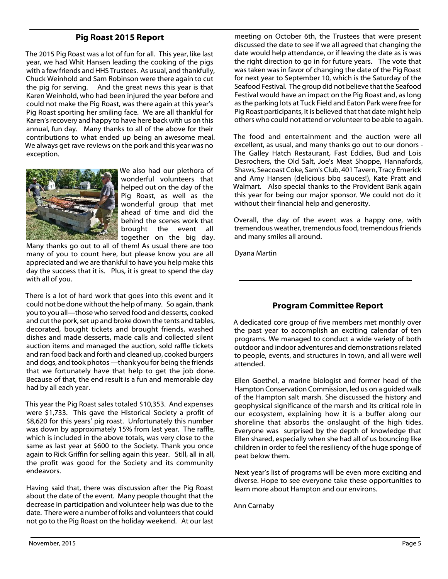# **Pig Roast 2015 Report**

The 2015 Pig Roast was a lot of fun for all. This year, like last year, we had Whit Hansen leading the cooking of the pigs with a few friends and HHS Trustees. As usual, and thankfully, Chuck Weinhold and Sam Robinson were there again to cut the pig for serving. And the great news this year is that Karen Weinhold, who had been injured the year before and could not make the Pig Roast, was there again at this year's Pig Roast sporting her smiling face. We are all thankful for Karen's recovery and happy to have here back with us on this annual, fun day. Many thanks to all of the above for their contributions to what ended up being an awesome meal. We always get rave reviews on the pork and this year was no exception.



We also had our plethora of wonderful volunteers that helped out on the day of the Pig Roast, as well as the wonderful group that met ahead of time and did the behind the scenes work that brought the event all together on the big day.

Many thanks go out to all of them! As usual there are too many of you to count here, but please know you are all appreciated and we are thankful to have you help make this day the success that it is. Plus, it is great to spend the day with all of you.

There is a lot of hard work that goes into this event and it could not be done without the help of many. So again, thank you to you all—those who served food and desserts, cooked and cut the pork, set up and broke down the tents and tables, decorated, bought tickets and brought friends, washed dishes and made desserts, made calls and collected silent auction items and managed the auction, sold raffle tickets and ran food back and forth and cleaned up, cooked burgers and dogs, and took photos —thank you for being the friends that we fortunately have that help to get the job done. Because of that, the end result is a fun and memorable day had by all each year.

This year the Pig Roast sales totaled \$10,353. And expenses were \$1,733. This gave the Historical Society a profit of \$8,620 for this years' pig roast. Unfortunately this number was down by approximately 15% from last year. The raffle, which is included in the above totals, was very close to the same as last year at \$600 to the Society. Thank you once again to Rick Griffin for selling again this year. Still, all in all, the profit was good for the Society and its community endeavors.

Having said that, there was discussion after the Pig Roast about the date of the event. Many people thought that the decrease in participation and volunteer help was due to the date. There were a number of folks and volunteers that could not go to the Pig Roast on the holiday weekend. At our last

meeting on October 6th, the Trustees that were present discussed the date to see if we all agreed that changing the date would help attendance, or if leaving the date as is was the right direction to go in for future years. The vote that was taken was in favor of changing the date of the Pig Roast for next year to September 10, which is the Saturday of the Seafood Festival. The group did not believe that the Seafood Festival would have an impact on the Pig Roast and, as long as the parking lots at Tuck Field and Eaton Park were free for Pig Roast participants, it is believed that that date might help others who could not attend or volunteer to be able to again.

The food and entertainment and the auction were all excellent, as usual, and many thanks go out to our donors - The Galley Hatch Restaurant, Fast Eddies, Bud and Lois Desrochers, the Old Salt, Joe's Meat Shoppe, Hannafords, Shaws, Seacoast Coke, Sam's Club, 401 Tavern, Tracy Emerick and Amy Hansen (delicious bbq sauces!), Kate Pratt and Walmart. Also special thanks to the Provident Bank again this year for being our major sponsor. We could not do it without their financial help and generosity.

Overall, the day of the event was a happy one, with tremendous weather, tremendous food, tremendous friends and many smiles all around.

Dyana Martin

# **Program Committee Report**

A dedicated core group of five members met monthly over the past year to accomplish an exciting calendar of ten programs. We managed to conduct a wide variety of both outdoor and indoor adventures and demonstrations related to people, events, and structures in town, and all were well attended.

Ellen Goethel, a marine biologist and former head of the Hampton Conservation Commission, led us on a guided walk of the Hampton salt marsh. She discussed the history and geophysical significance of the marsh and its critical role in our ecosystem, explaining how it is a buffer along our shoreline that absorbs the onslaught of the high tides. Everyone was surprised by the depth of knowledge that Ellen shared, especially when she had all of us bouncing like children in order to feel the resiliency of the huge sponge of peat below them.

Next year's list of programs will be even more exciting and diverse. Hope to see everyone take these opportunities to learn more about Hampton and our environs.

Ann Carnaby